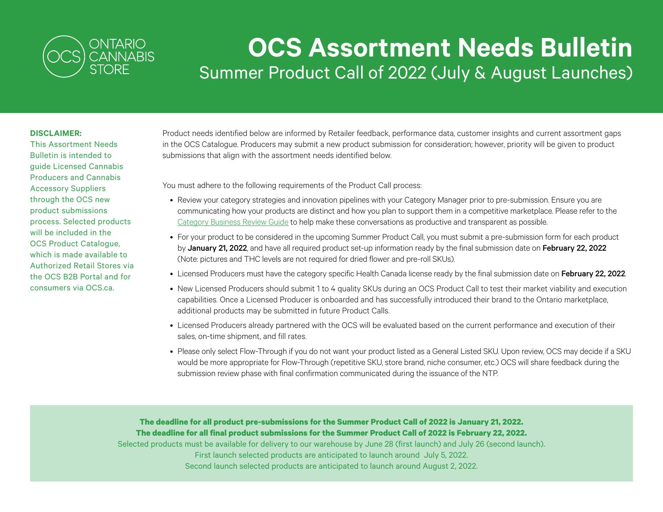

## **OCS Assortment Needs Bulletin** Summer Product Call of 2022 (July & August Launches)

## **DISCLAIMER:**

This Assortment Needs Bulletin is intended to guide Licensed Cannabis Producers and Cannabis Accessory Suppliers through the OCS new product submissions process. Selected products will be included in the OCS Product Catalogue, which is made available to Authorized Retail Stores via the OCS B2B Portal and for consumers via OCS.ca.

Product needs identified below are informed by Retailer feedback, performance data, customer insights and current assortment gaps in the OCS Catalogue. Producers may submit a new product submission for consideration; however, priority will be given to product submissions that align with the assortment needs identified below.

You must adhere to the following requirements of the Product Call process:

- Review your category strategies and innovation pipelines with your Category Manager prior to pre-submission. Ensure you are communicating how your products are distinct and how you plan to support them in a competitive marketplace. Please refer to the [Category Business Review Guide](https://www.doingbusinesswithocs.ca/wp-content/uploads/2021/09/CategoryBusinessReview_Sept2021.pdf) to help make these conversations as productive and transparent as possible.
- For your product to be considered in the upcoming Summer Product Call, you must submit a pre-submission form for each product by January 21, 2022, and have all required product set-up information ready by the final submission date on February 22, 2022 (Note: pictures and THC levels are not required for dried flower and pre-roll SKUs).
- Licensed Producers must have the category specific Health Canada license ready by the final submission date on February 22, 2022.
- New Licensed Producers should submit 1 to 4 quality SKUs during an OCS Product Call to test their market viability and execution capabilities. Once a Licensed Producer is onboarded and has successfully introduced their brand to the Ontario marketplace, additional products may be submitted in future Product Calls.
- Licensed Producers already partnered with the OCS will be evaluated based on the current performance and execution of their sales, on-time shipment, and fill rates.
- Please only select Flow-Through if you do not want your product listed as a General Listed SKU. Upon review, OCS may decide if a SKU would be more appropriate for Flow-Through (repetitive SKU, store brand, niche consumer, etc.) OCS will share feedback during the submission review phase with final confirmation communicated during the issuance of the NTP.

**The deadline for all product pre-submissions for the Summer Product Call of 2022 is January 21, 2022. The deadline for all final product submissions for the Summer Product Call of 2022 is February 22, 2022.** Selected products must be available for delivery to our warehouse by June 28 (first launch) and July 26 (second launch). First launch selected products are anticipated to launch around July 5, 2022. Second launch selected products are anticipated to launch around August 2, 2022.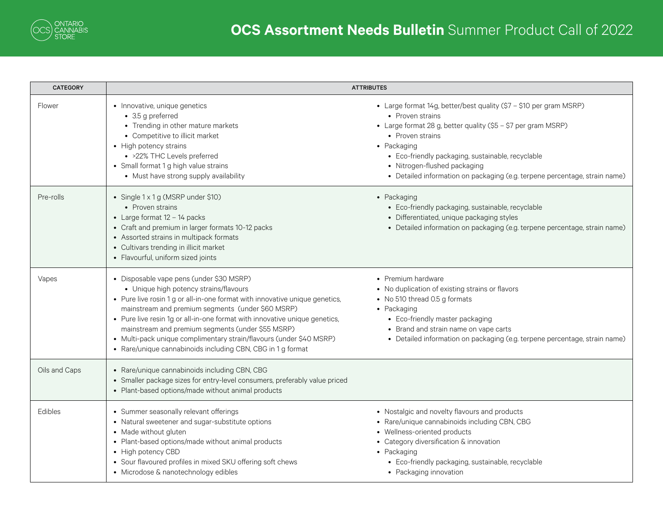| <b>CATEGORY</b> | <b>ATTRIBUTES</b>                                                                                                                                                                                                                                                                                                                                                                                                                                                                               |                                                                                                                                                                                                                                                                                                                                                               |
|-----------------|-------------------------------------------------------------------------------------------------------------------------------------------------------------------------------------------------------------------------------------------------------------------------------------------------------------------------------------------------------------------------------------------------------------------------------------------------------------------------------------------------|---------------------------------------------------------------------------------------------------------------------------------------------------------------------------------------------------------------------------------------------------------------------------------------------------------------------------------------------------------------|
| Flower          | • Innovative, unique genetics<br>• 3.5 g preferred<br>• Trending in other mature markets<br>• Competitive to illicit market<br>• High potency strains<br>• >22% THC Levels preferred<br>• Small format 1 g high value strains<br>• Must have strong supply availability                                                                                                                                                                                                                         | • Large format 14g, better/best quality (\$7 - \$10 per gram MSRP)<br>• Proven strains<br>• Large format 28 g, better quality (\$5 - \$7 per gram MSRP)<br>• Proven strains<br>• Packaging<br>• Eco-friendly packaging, sustainable, recyclable<br>• Nitrogen-flushed packaging<br>• Detailed information on packaging (e.g. terpene percentage, strain name) |
| Pre-rolls       | • Single 1 x 1 g (MSRP under \$10)<br>• Proven strains<br>• Large format $12 - 14$ packs<br>• Craft and premium in larger formats 10-12 packs<br>• Assorted strains in multipack formats<br>• Cultivars trending in illicit market<br>• Flavourful, uniform sized joints                                                                                                                                                                                                                        | • Packaging<br>• Eco-friendly packaging, sustainable, recyclable<br>• Differentiated, unique packaging styles<br>• Detailed information on packaging (e.g. terpene percentage, strain name)                                                                                                                                                                   |
| Vapes           | • Disposable vape pens (under \$30 MSRP)<br>• Unique high potency strains/flavours<br>• Pure live rosin 1 g or all-in-one format with innovative unique genetics,<br>mainstream and premium segments (under \$60 MSRP)<br>• Pure live resin 1g or all-in-one format with innovative unique genetics,<br>mainstream and premium segments (under \$55 MSRP)<br>• Multi-pack unique complimentary strain/flavours (under \$40 MSRP)<br>• Rare/unique cannabinoids including CBN, CBG in 1 g format | • Premium hardware<br>• No duplication of existing strains or flavors<br>• No 510 thread 0.5 g formats<br>• Packaging<br>• Eco-friendly master packaging<br>• Brand and strain name on vape carts<br>• Detailed information on packaging (e.g. terpene percentage, strain name)                                                                               |
| Oils and Caps   | • Rare/unique cannabinoids including CBN, CBG<br>• Smaller package sizes for entry-level consumers, preferably value priced<br>• Plant-based options/made without animal products                                                                                                                                                                                                                                                                                                               |                                                                                                                                                                                                                                                                                                                                                               |
| Edibles         | • Summer seasonally relevant offerings<br>• Natural sweetener and sugar-substitute options<br>• Made without gluten<br>• Plant-based options/made without animal products<br>• High potency CBD<br>• Sour flavoured profiles in mixed SKU offering soft chews<br>• Microdose & nanotechnology edibles                                                                                                                                                                                           | • Nostalgic and novelty flavours and products<br>• Rare/unique cannabinoids including CBN, CBG<br>• Wellness-oriented products<br>• Category diversification & innovation<br>• Packaging<br>• Eco-friendly packaging, sustainable, recyclable<br>• Packaging innovation                                                                                       |